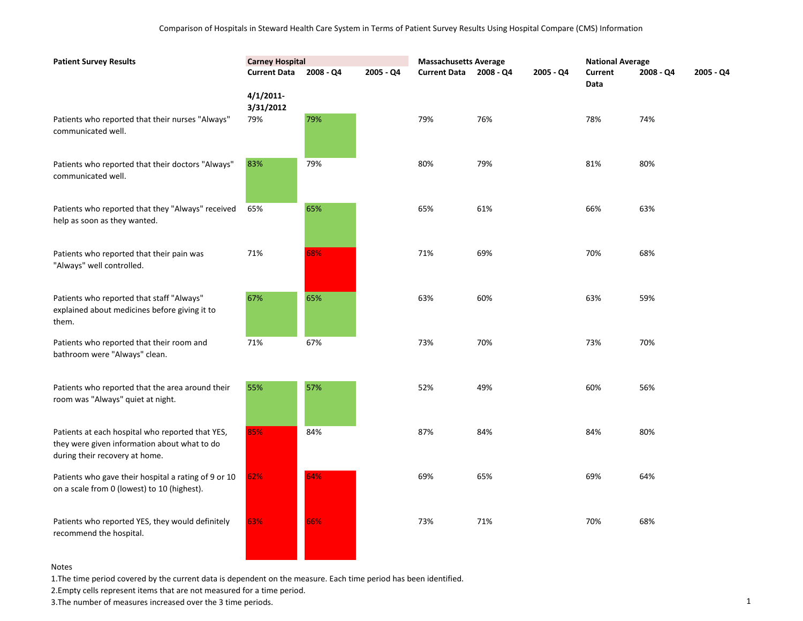| <b>Patient Survey Results</b>                                                                                                      | <b>Carney Hospital</b> |           |             | <b>Massachusetts Average</b> |           |             | <b>National Average</b> |             |             |
|------------------------------------------------------------------------------------------------------------------------------------|------------------------|-----------|-------------|------------------------------|-----------|-------------|-------------------------|-------------|-------------|
|                                                                                                                                    | <b>Current Data</b>    | 2008 - Q4 | $2005 - Q4$ | <b>Current Data</b>          | 2008 - Q4 | $2005 - Q4$ | Current<br>Data         | $2008 - Q4$ | $2005 - Q4$ |
|                                                                                                                                    | 4/1/2011<br>3/31/2012  |           |             |                              |           |             |                         |             |             |
| Patients who reported that their nurses "Always"<br>communicated well.                                                             | 79%                    | 79%       |             | 79%                          | 76%       |             | 78%                     | 74%         |             |
| Patients who reported that their doctors "Always"<br>communicated well.                                                            | 83%                    | 79%       |             | 80%                          | 79%       |             | 81%                     | 80%         |             |
| Patients who reported that they "Always" received<br>help as soon as they wanted.                                                  | 65%                    | 65%       |             | 65%                          | 61%       |             | 66%                     | 63%         |             |
| Patients who reported that their pain was<br>"Always" well controlled.                                                             | 71%                    | 68%       |             | 71%                          | 69%       |             | 70%                     | 68%         |             |
| Patients who reported that staff "Always"<br>explained about medicines before giving it to<br>them.                                | 67%                    | 65%       |             | 63%                          | 60%       |             | 63%                     | 59%         |             |
| Patients who reported that their room and<br>bathroom were "Always" clean.                                                         | 71%                    | 67%       |             | 73%                          | 70%       |             | 73%                     | 70%         |             |
| Patients who reported that the area around their<br>room was "Always" quiet at night.                                              | 55%                    | 57%       |             | 52%                          | 49%       |             | 60%                     | 56%         |             |
| Patients at each hospital who reported that YES,<br>they were given information about what to do<br>during their recovery at home. | 85%                    | 84%       |             | 87%                          | 84%       |             | 84%                     | 80%         |             |
| Patients who gave their hospital a rating of 9 or 10<br>on a scale from 0 (lowest) to 10 (highest).                                | 62%                    | 64%       |             | 69%                          | 65%       |             | 69%                     | 64%         |             |
| Patients who reported YES, they would definitely<br>recommend the hospital.                                                        | 63%                    | 66%       |             | 73%                          | 71%       |             | 70%                     | 68%         |             |

1.The time period covered by the current data is dependent on the measure. Each time period has been identified.

2.Empty cells represent items that are not measured for a time period.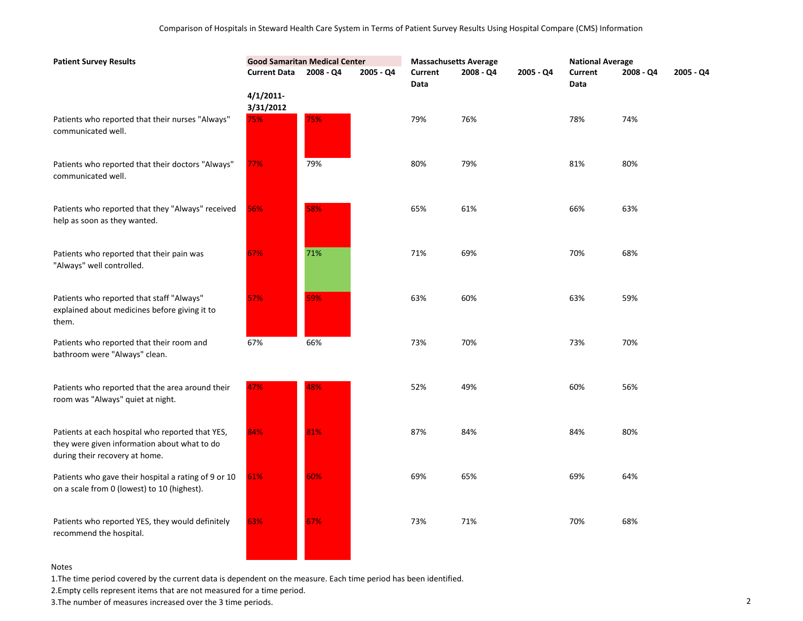| <b>Patient Survey Results</b>                                                                                                      | <b>Good Samaritan Medical Center</b> |           |           | <b>Massachusetts Average</b> |             |           | <b>National Average</b> |           |           |
|------------------------------------------------------------------------------------------------------------------------------------|--------------------------------------|-----------|-----------|------------------------------|-------------|-----------|-------------------------|-----------|-----------|
|                                                                                                                                    | <b>Current Data</b>                  | 2008 - Q4 | 2005 - Q4 | Current<br>Data              | $2008 - Q4$ | 2005 - Q4 | Current<br>Data         | 2008 - Q4 | 2005 - Q4 |
|                                                                                                                                    | $4/1/2011$ -<br>3/31/2012            |           |           |                              |             |           |                         |           |           |
| Patients who reported that their nurses "Always"<br>communicated well.                                                             | 75%                                  | 75%       |           | 79%                          | 76%         |           | 78%                     | 74%       |           |
| Patients who reported that their doctors "Always"<br>communicated well.                                                            | 77%                                  | 79%       |           | 80%                          | 79%         |           | 81%                     | 80%       |           |
| Patients who reported that they "Always" received<br>help as soon as they wanted.                                                  | 56%                                  | 58%       |           | 65%                          | 61%         |           | 66%                     | 63%       |           |
| Patients who reported that their pain was<br>"Always" well controlled.                                                             | 67%                                  | 71%       |           | 71%                          | 69%         |           | 70%                     | 68%       |           |
| Patients who reported that staff "Always"<br>explained about medicines before giving it to<br>them.                                | 57%                                  | 59%       |           | 63%                          | 60%         |           | 63%                     | 59%       |           |
| Patients who reported that their room and<br>bathroom were "Always" clean.                                                         | 67%                                  | 66%       |           | 73%                          | 70%         |           | 73%                     | 70%       |           |
| Patients who reported that the area around their<br>room was "Always" quiet at night.                                              | 47%                                  | 48%       |           | 52%                          | 49%         |           | 60%                     | 56%       |           |
| Patients at each hospital who reported that YES,<br>they were given information about what to do<br>during their recovery at home. | 84%                                  | 81%       |           | 87%                          | 84%         |           | 84%                     | 80%       |           |
| Patients who gave their hospital a rating of 9 or 10<br>on a scale from 0 (lowest) to 10 (highest).                                | 61%                                  | 60%       |           | 69%                          | 65%         |           | 69%                     | 64%       |           |
| Patients who reported YES, they would definitely<br>recommend the hospital.                                                        | 63%                                  | 67%       |           | 73%                          | 71%         |           | 70%                     | 68%       |           |

1.The time period covered by the current data is dependent on the measure. Each time period has been identified.

2.Empty cells represent items that are not measured for a time period.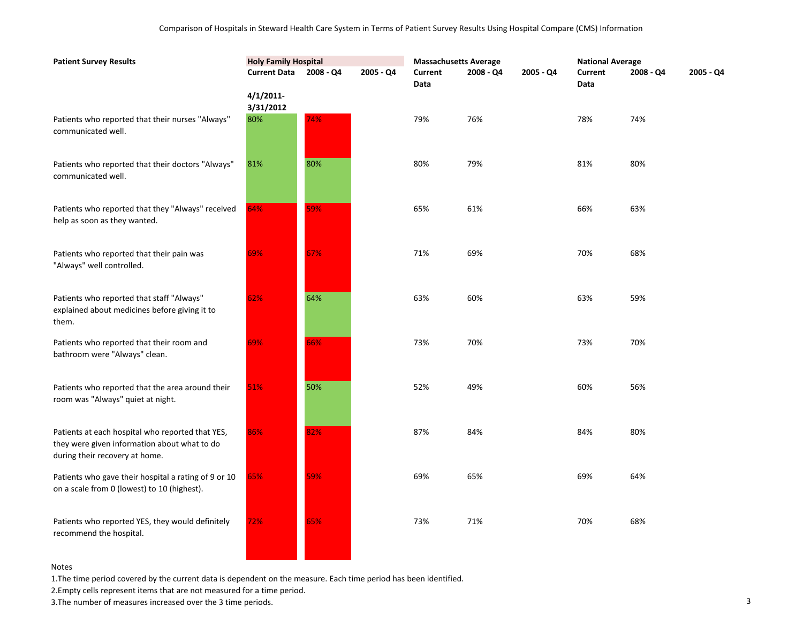| <b>Patient Survey Results</b>                                                                                                      | <b>Holy Family Hospital</b> |             |           | <b>Massachusetts Average</b> |           |           | <b>National Average</b> |           |           |
|------------------------------------------------------------------------------------------------------------------------------------|-----------------------------|-------------|-----------|------------------------------|-----------|-----------|-------------------------|-----------|-----------|
|                                                                                                                                    | <b>Current Data</b>         | $2008 - Q4$ | 2005 - Q4 | Current<br>Data              | 2008 - Q4 | 2005 - Q4 | Current<br>Data         | 2008 - Q4 | 2005 - Q4 |
|                                                                                                                                    | 4/1/2011<br>3/31/2012       |             |           |                              |           |           |                         |           |           |
| Patients who reported that their nurses "Always"<br>communicated well.                                                             | 80%                         | 74%         |           | 79%                          | 76%       |           | 78%                     | 74%       |           |
| Patients who reported that their doctors "Always"<br>communicated well.                                                            | 81%                         | 80%         |           | 80%                          | 79%       |           | 81%                     | 80%       |           |
| Patients who reported that they "Always" received<br>help as soon as they wanted.                                                  | 64%                         | 59%         |           | 65%                          | 61%       |           | 66%                     | 63%       |           |
| Patients who reported that their pain was<br>"Always" well controlled.                                                             | 69%                         | 67%         |           | 71%                          | 69%       |           | 70%                     | 68%       |           |
| Patients who reported that staff "Always"<br>explained about medicines before giving it to<br>them.                                | 62%                         | 64%         |           | 63%                          | 60%       |           | 63%                     | 59%       |           |
| Patients who reported that their room and<br>bathroom were "Always" clean.                                                         | 69%                         | 66%         |           | 73%                          | 70%       |           | 73%                     | 70%       |           |
| Patients who reported that the area around their<br>room was "Always" quiet at night.                                              | 51%                         | 50%         |           | 52%                          | 49%       |           | 60%                     | 56%       |           |
| Patients at each hospital who reported that YES,<br>they were given information about what to do<br>during their recovery at home. | 86%                         | 82%         |           | 87%                          | 84%       |           | 84%                     | 80%       |           |
| Patients who gave their hospital a rating of 9 or 10<br>on a scale from 0 (lowest) to 10 (highest).                                | 65%                         | 59%         |           | 69%                          | 65%       |           | 69%                     | 64%       |           |
| Patients who reported YES, they would definitely<br>recommend the hospital.                                                        | 72%                         | 65%         |           | 73%                          | 71%       |           | 70%                     | 68%       |           |

1.The time period covered by the current data is dependent on the measure. Each time period has been identified.

**Contract Contract Contract** 

 $\overline{\phantom{a}}$ 

2.Empty cells represent items that are not measured for a time period.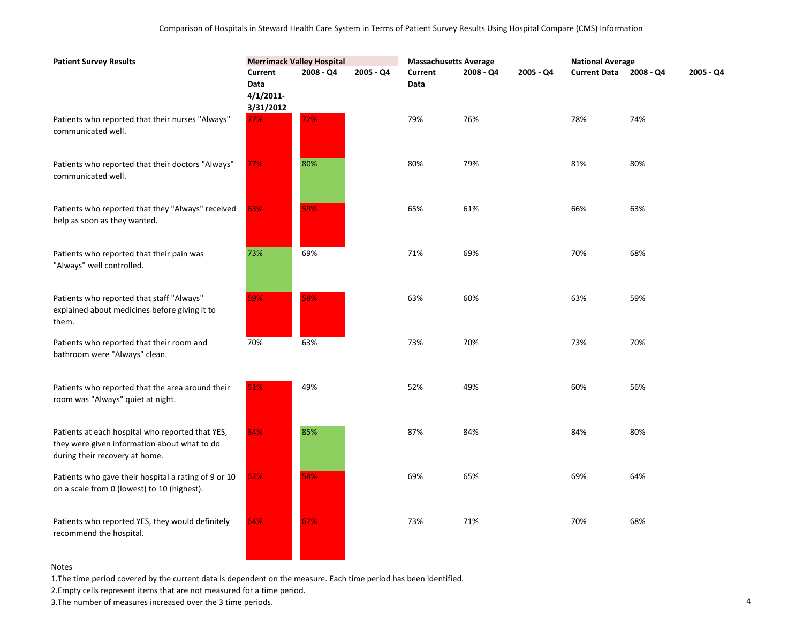| <b>Patient Survey Results</b>                                                                                                      | <b>Merrimack Valley Hospital</b>         |           |           | <b>Massachusetts Average</b> |           |           | <b>National Average</b> |           |           |
|------------------------------------------------------------------------------------------------------------------------------------|------------------------------------------|-----------|-----------|------------------------------|-----------|-----------|-------------------------|-----------|-----------|
|                                                                                                                                    | Current<br>Data<br>4/1/2011<br>3/31/2012 | 2008 - Q4 | 2005 - Q4 | <b>Current</b><br>Data       | 2008 - Q4 | 2005 - Q4 | <b>Current Data</b>     | 2008 - Q4 | 2005 - Q4 |
| Patients who reported that their nurses "Always"<br>communicated well.                                                             | 77%                                      | 72%       |           | 79%                          | 76%       |           | 78%                     | 74%       |           |
| Patients who reported that their doctors "Always"<br>communicated well.                                                            | 77%                                      | 80%       |           | 80%                          | 79%       |           | 81%                     | 80%       |           |
| Patients who reported that they "Always" received<br>help as soon as they wanted.                                                  | 63%                                      | 59%       |           | 65%                          | 61%       |           | 66%                     | 63%       |           |
| Patients who reported that their pain was<br>"Always" well controlled.                                                             | 73%                                      | 69%       |           | 71%                          | 69%       |           | 70%                     | 68%       |           |
| Patients who reported that staff "Always"<br>explained about medicines before giving it to<br>them.                                | 59%                                      | 58%       |           | 63%                          | 60%       |           | 63%                     | 59%       |           |
| Patients who reported that their room and<br>bathroom were "Always" clean.                                                         | 70%                                      | 63%       |           | 73%                          | 70%       |           | 73%                     | 70%       |           |
| Patients who reported that the area around their<br>room was "Always" quiet at night.                                              | 51%                                      | 49%       |           | 52%                          | 49%       |           | 60%                     | 56%       |           |
| Patients at each hospital who reported that YES,<br>they were given information about what to do<br>during their recovery at home. | 84%                                      | 85%       |           | 87%                          | 84%       |           | 84%                     | 80%       |           |
| Patients who gave their hospital a rating of 9 or 10<br>on a scale from 0 (lowest) to 10 (highest).                                | 62%                                      | 58%       |           | 69%                          | 65%       |           | 69%                     | 64%       |           |
| Patients who reported YES, they would definitely<br>recommend the hospital.                                                        | 64%                                      | 67%       |           | 73%                          | 71%       |           | 70%                     | 68%       |           |

1.The time period covered by the current data is dependent on the measure. Each time period has been identified.

a sa salawan na kata

2.Empty cells represent items that are not measured for a time period.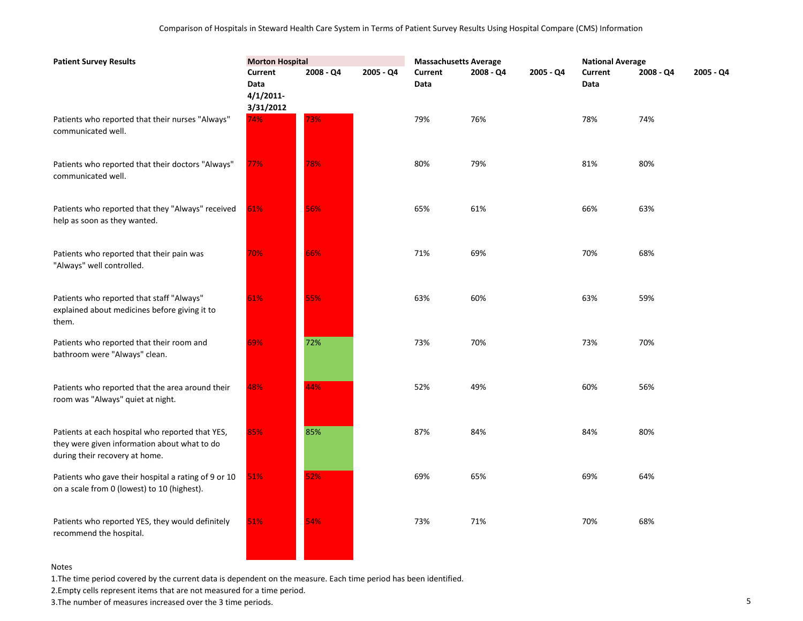| <b>Patient Survey Results</b>                                                                                                      | <b>Morton Hospital</b>          |           |             | <b>Massachusetts Average</b> |           |           | <b>National Average</b> |             |           |
|------------------------------------------------------------------------------------------------------------------------------------|---------------------------------|-----------|-------------|------------------------------|-----------|-----------|-------------------------|-------------|-----------|
|                                                                                                                                    | Current<br>Data<br>$4/1/2011$ - | 2008 - Q4 | $2005 - Q4$ | Current<br>Data              | 2008 - Q4 | 2005 - Q4 | Current<br>Data         | $2008 - Q4$ | 2005 - Q4 |
| Patients who reported that their nurses "Always"<br>communicated well.                                                             | 3/31/2012<br>74%                | 73%       |             | 79%                          | 76%       |           | 78%                     | 74%         |           |
| Patients who reported that their doctors "Always"<br>communicated well.                                                            | 77%                             | 78%       |             | 80%                          | 79%       |           | 81%                     | 80%         |           |
| Patients who reported that they "Always" received<br>help as soon as they wanted.                                                  | 61%                             | 56%       |             | 65%                          | 61%       |           | 66%                     | 63%         |           |
| Patients who reported that their pain was<br>"Always" well controlled.                                                             | 70%                             | 66%       |             | 71%                          | 69%       |           | 70%                     | 68%         |           |
| Patients who reported that staff "Always"<br>explained about medicines before giving it to<br>them.                                | 61%                             | 55%       |             | 63%                          | 60%       |           | 63%                     | 59%         |           |
| Patients who reported that their room and<br>bathroom were "Always" clean.                                                         | 69%                             | 72%       |             | 73%                          | 70%       |           | 73%                     | 70%         |           |
| Patients who reported that the area around their<br>room was "Always" quiet at night.                                              | 48%                             | 44%       |             | 52%                          | 49%       |           | 60%                     | 56%         |           |
| Patients at each hospital who reported that YES,<br>they were given information about what to do<br>during their recovery at home. | 85%                             | 85%       |             | 87%                          | 84%       |           | 84%                     | 80%         |           |
| Patients who gave their hospital a rating of 9 or 10<br>on a scale from 0 (lowest) to 10 (highest).                                | 51%                             | 52%       |             | 69%                          | 65%       |           | 69%                     | 64%         |           |
| Patients who reported YES, they would definitely<br>recommend the hospital.                                                        | 51%                             | 54%       |             | 73%                          | 71%       |           | 70%                     | 68%         |           |

1.The time period covered by the current data is dependent on the measure. Each time period has been identified.

2.Empty cells represent items that are not measured for a time period.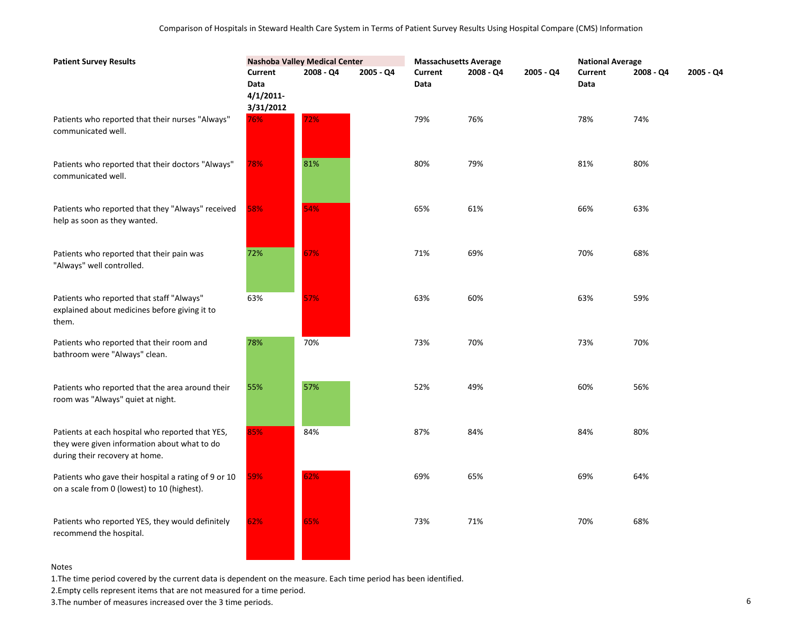| <b>Patient Survey Results</b>                                                                                                      | <b>Nashoba Valley Medical Center</b>                |           |           | <b>Massachusetts Average</b> |           |           | <b>National Average</b> |           |           |
|------------------------------------------------------------------------------------------------------------------------------------|-----------------------------------------------------|-----------|-----------|------------------------------|-----------|-----------|-------------------------|-----------|-----------|
|                                                                                                                                    | <b>Current</b><br>Data<br>$4/1/2011$ -<br>3/31/2012 | 2008 - Q4 | 2005 - Q4 | Current<br>Data              | 2008 - Q4 | 2005 - Q4 | <b>Current</b><br>Data  | 2008 - Q4 | 2005 - Q4 |
| Patients who reported that their nurses "Always"<br>communicated well.                                                             | 76%                                                 | 72%       |           | 79%                          | 76%       |           | 78%                     | 74%       |           |
| Patients who reported that their doctors "Always"<br>communicated well.                                                            | 78%                                                 | 81%       |           | 80%                          | 79%       |           | 81%                     | 80%       |           |
| Patients who reported that they "Always" received<br>help as soon as they wanted.                                                  | 58%                                                 | 54%       |           | 65%                          | 61%       |           | 66%                     | 63%       |           |
| Patients who reported that their pain was<br>"Always" well controlled.                                                             | 72%                                                 | 67%       |           | 71%                          | 69%       |           | 70%                     | 68%       |           |
| Patients who reported that staff "Always"<br>explained about medicines before giving it to<br>them.                                | 63%                                                 | 57%       |           | 63%                          | 60%       |           | 63%                     | 59%       |           |
| Patients who reported that their room and<br>bathroom were "Always" clean.                                                         | 78%                                                 | 70%       |           | 73%                          | 70%       |           | 73%                     | 70%       |           |
| Patients who reported that the area around their<br>room was "Always" quiet at night.                                              | 55%                                                 | 57%       |           | 52%                          | 49%       |           | 60%                     | 56%       |           |
| Patients at each hospital who reported that YES,<br>they were given information about what to do<br>during their recovery at home. | 85%                                                 | 84%       |           | 87%                          | 84%       |           | 84%                     | 80%       |           |
| Patients who gave their hospital a rating of 9 or 10<br>on a scale from 0 (lowest) to 10 (highest).                                | 59%                                                 | 62%       |           | 69%                          | 65%       |           | 69%                     | 64%       |           |
| Patients who reported YES, they would definitely<br>recommend the hospital.                                                        | 62%                                                 | 65%       |           | 73%                          | 71%       |           | 70%                     | 68%       |           |

1.The time period covered by the current data is dependent on the measure. Each time period has been identified.

a sa

2.Empty cells represent items that are not measured for a time period.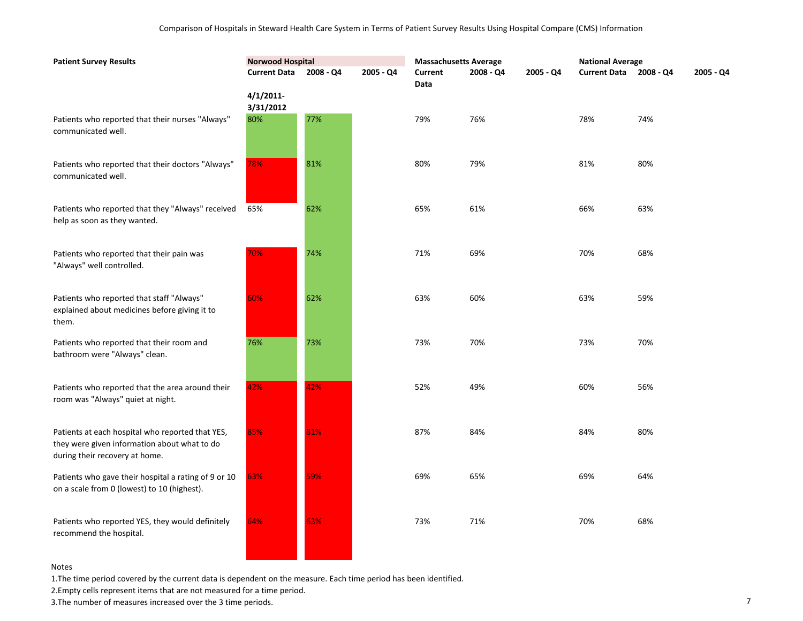| <b>Patient Survey Results</b>                                                                                                      | <b>Norwood Hospital</b>   |           |           | <b>Massachusetts Average</b> |           |           | <b>National Average</b> |           |           |  |
|------------------------------------------------------------------------------------------------------------------------------------|---------------------------|-----------|-----------|------------------------------|-----------|-----------|-------------------------|-----------|-----------|--|
|                                                                                                                                    | <b>Current Data</b>       | 2008 - Q4 | 2005 - Q4 | Current<br>Data              | 2008 - Q4 | 2005 - Q4 | <b>Current Data</b>     | 2008 - Q4 | 2005 - Q4 |  |
|                                                                                                                                    | $4/1/2011$ -<br>3/31/2012 |           |           |                              |           |           |                         |           |           |  |
| Patients who reported that their nurses "Always"<br>communicated well.                                                             | 80%                       | 77%       |           | 79%                          | 76%       |           | 78%                     | 74%       |           |  |
| Patients who reported that their doctors "Always"<br>communicated well.                                                            | 78%                       | 81%       |           | 80%                          | 79%       |           | 81%                     | 80%       |           |  |
| Patients who reported that they "Always" received<br>help as soon as they wanted.                                                  | 65%                       | 62%       |           | 65%                          | 61%       |           | 66%                     | 63%       |           |  |
| Patients who reported that their pain was<br>"Always" well controlled.                                                             | 70%                       | 74%       |           | 71%                          | 69%       |           | 70%                     | 68%       |           |  |
| Patients who reported that staff "Always"<br>explained about medicines before giving it to<br>them.                                | 60%                       | 62%       |           | 63%                          | 60%       |           | 63%                     | 59%       |           |  |
| Patients who reported that their room and<br>bathroom were "Always" clean.                                                         | 76%                       | 73%       |           | 73%                          | 70%       |           | 73%                     | 70%       |           |  |
| Patients who reported that the area around their<br>room was "Always" quiet at night.                                              | 42%                       | 42%       |           | 52%                          | 49%       |           | 60%                     | 56%       |           |  |
| Patients at each hospital who reported that YES,<br>they were given information about what to do<br>during their recovery at home. | 85%                       | 81%       |           | 87%                          | 84%       |           | 84%                     | 80%       |           |  |
| Patients who gave their hospital a rating of 9 or 10<br>on a scale from 0 (lowest) to 10 (highest).                                | 63%                       | 59%       |           | 69%                          | 65%       |           | 69%                     | 64%       |           |  |
| Patients who reported YES, they would definitely<br>recommend the hospital.                                                        | 64%                       | 63%       |           | 73%                          | 71%       |           | 70%                     | 68%       |           |  |

1.The time period covered by the current data is dependent on the measure. Each time period has been identified.

**The Committee of the Committee** 

2.Empty cells represent items that are not measured for a time period.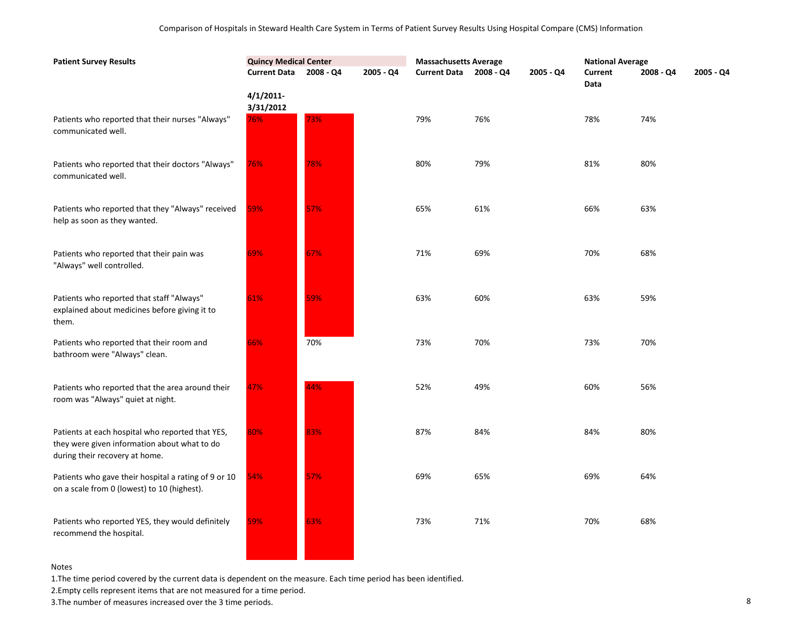| <b>Patient Survey Results</b>                                                                                                      | <b>Quincy Medical Center</b> |           |           | <b>Massachusetts Average</b> |           |           | <b>National Average</b> |           |           |
|------------------------------------------------------------------------------------------------------------------------------------|------------------------------|-----------|-----------|------------------------------|-----------|-----------|-------------------------|-----------|-----------|
|                                                                                                                                    | <b>Current Data</b>          | 2008 - Q4 | 2005 - Q4 | <b>Current Data</b>          | 2008 - Q4 | 2005 - Q4 | Current<br>Data         | 2008 - Q4 | 2005 - Q4 |
|                                                                                                                                    | $4/1/2011$ -<br>3/31/2012    |           |           |                              |           |           |                         |           |           |
| Patients who reported that their nurses "Always"<br>communicated well.                                                             | 76%                          | 73%       |           | 79%                          | 76%       |           | 78%                     | 74%       |           |
| Patients who reported that their doctors "Always"<br>communicated well.                                                            | 76%                          | 78%       |           | 80%                          | 79%       |           | 81%                     | 80%       |           |
| Patients who reported that they "Always" received<br>help as soon as they wanted.                                                  | 59%                          | 57%       |           | 65%                          | 61%       |           | 66%                     | 63%       |           |
| Patients who reported that their pain was<br>"Always" well controlled.                                                             | 69%                          | 67%       |           | 71%                          | 69%       |           | 70%                     | 68%       |           |
| Patients who reported that staff "Always"<br>explained about medicines before giving it to<br>them.                                | 61%                          | 59%       |           | 63%                          | 60%       |           | 63%                     | 59%       |           |
| Patients who reported that their room and<br>bathroom were "Always" clean.                                                         | 66%                          | 70%       |           | 73%                          | 70%       |           | 73%                     | 70%       |           |
| Patients who reported that the area around their<br>room was "Always" quiet at night.                                              | 47%                          | 44%       |           | 52%                          | 49%       |           | 60%                     | 56%       |           |
| Patients at each hospital who reported that YES,<br>they were given information about what to do<br>during their recovery at home. | 80%                          | 83%       |           | 87%                          | 84%       |           | 84%                     | 80%       |           |
| Patients who gave their hospital a rating of 9 or 10<br>on a scale from 0 (lowest) to 10 (highest).                                | 54%                          | 57%       |           | 69%                          | 65%       |           | 69%                     | 64%       |           |
| Patients who reported YES, they would definitely<br>recommend the hospital.                                                        | 59%                          | 63%       |           | 73%                          | 71%       |           | 70%                     | 68%       |           |

1.The time period covered by the current data is dependent on the measure. Each time period has been identified.

2.Empty cells represent items that are not measured for a time period.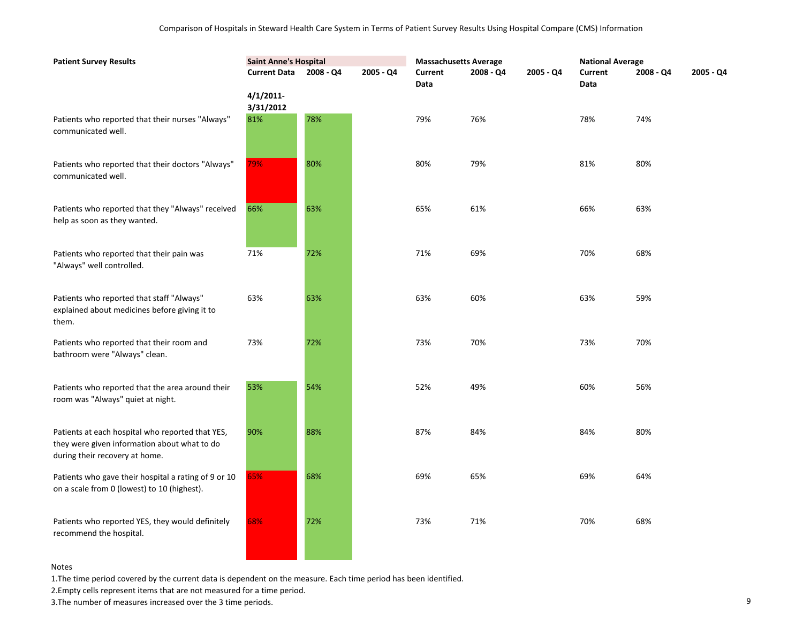| <b>Patient Survey Results</b>                                                                                                      | <b>Saint Anne's Hospital</b> |             |           | <b>Massachusetts Average</b> |           |             | <b>National Average</b> |           |           |
|------------------------------------------------------------------------------------------------------------------------------------|------------------------------|-------------|-----------|------------------------------|-----------|-------------|-------------------------|-----------|-----------|
|                                                                                                                                    | <b>Current Data</b>          | $2008 - Q4$ | 2005 - Q4 | Current<br>Data              | 2008 - Q4 | $2005 - Q4$ | Current<br>Data         | 2008 - Q4 | 2005 - Q4 |
|                                                                                                                                    | $4/1/2011$ -<br>3/31/2012    |             |           |                              |           |             |                         |           |           |
| Patients who reported that their nurses "Always"<br>communicated well.                                                             | 81%                          | 78%         |           | 79%                          | 76%       |             | 78%                     | 74%       |           |
| Patients who reported that their doctors "Always"<br>communicated well.                                                            | 79%                          | 80%         |           | 80%                          | 79%       |             | 81%                     | 80%       |           |
| Patients who reported that they "Always" received<br>help as soon as they wanted.                                                  | 66%                          | 63%         |           | 65%                          | 61%       |             | 66%                     | 63%       |           |
| Patients who reported that their pain was<br>"Always" well controlled.                                                             | 71%                          | 72%         |           | 71%                          | 69%       |             | 70%                     | 68%       |           |
| Patients who reported that staff "Always"<br>explained about medicines before giving it to<br>them.                                | 63%                          | 63%         |           | 63%                          | 60%       |             | 63%                     | 59%       |           |
| Patients who reported that their room and<br>bathroom were "Always" clean.                                                         | 73%                          | 72%         |           | 73%                          | 70%       |             | 73%                     | 70%       |           |
| Patients who reported that the area around their<br>room was "Always" quiet at night.                                              | 53%                          | 54%         |           | 52%                          | 49%       |             | 60%                     | 56%       |           |
| Patients at each hospital who reported that YES,<br>they were given information about what to do<br>during their recovery at home. | 90%                          | 88%         |           | 87%                          | 84%       |             | 84%                     | 80%       |           |
| Patients who gave their hospital a rating of 9 or 10<br>on a scale from 0 (lowest) to 10 (highest).                                | 65%                          | 68%         |           | 69%                          | 65%       |             | 69%                     | 64%       |           |
| Patients who reported YES, they would definitely<br>recommend the hospital.                                                        | 68%                          | 72%         |           | 73%                          | 71%       |             | 70%                     | 68%       |           |

1.The time period covered by the current data is dependent on the measure. Each time period has been identified.

**Contract Contract Contract** 

**Contract Contract** 

2.Empty cells represent items that are not measured for a time period.